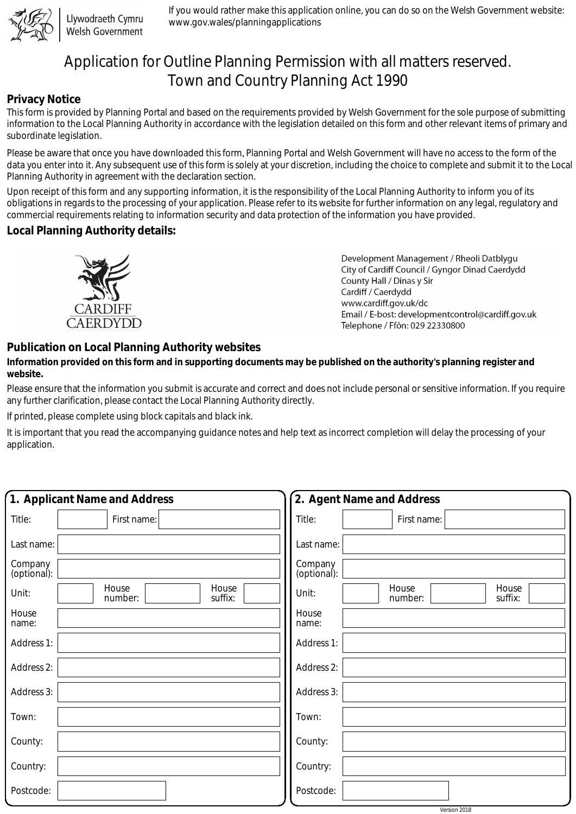

Llywodraeth Cymru Welsh Government

If you would rather make this application online, you can do so on the Welsh Government website: www.gov.wales/planningapplications

# Application for Outline Planning Permission with all matters reserved. Town and Country Planning Act 1990

#### **Privacy Notice**

This form is provided by Planning Portal and based on the requirements provided by Welsh Government for the sole purpose of submitting information to the Local Planning Authority in accordance with the legislation detailed on this form and other relevant items of primary and subordinate legislation.

Please be aware that once you have downloaded this form, Planning Portal and Welsh Government will have no access to the form of the data you enter into it. Any subsequent use of this form is solely at your discretion, including the choice to complete and submit it to the Local Planning Authority in agreement with the declaration section.

Upon receipt of this form and any supporting information, it is the responsibility of the Local Planning Authority to inform you of its obligations in regards to the processing of your application. Please refer to its website for further information on any legal, regulatory and commercial requirements relating to information security and data protection of the information you have provided.

### **Local Planning Authority details:**



Development Management / Rheoli Datblygu City of Cardiff Council / Gyngor Dinad Caerdydd County Hall / Dinas y Sir Cardiff / Caerdydd www.cardiff.gov.uk/dc Email / E-bost: developmentcontrol@cardiff.gov.uk Telephone / Ffôn: 029 22330800

## **Publication on Local Planning Authority websites**

#### **Information provided on this form and in supporting documents may be published on the authority's planning register and website.**

Please ensure that the information you submit is accurate and correct and does not include personal or sensitive information. If you require any further clarification, please contact the Local Planning Authority directly.

If printed, please complete using block capitals and black ink.

It is important that you read the accompanying guidance notes and help text as incorrect completion will delay the processing of your application.

| 1. Applicant Name and Address                 | 2. Agent Name and Address                     |
|-----------------------------------------------|-----------------------------------------------|
| Title:<br>First name:                         | Title:<br>First name:                         |
| Last name:                                    | Last name:                                    |
| Company<br>(optional):                        | Company<br>(optional):                        |
| House<br>House<br>Unit:<br>suffix:<br>number: | House<br>House<br>Unit:<br>suffix:<br>number: |
| House<br>name:                                | House<br>name:                                |
| Address 1:                                    | Address 1:                                    |
| Address 2:                                    | Address 2:                                    |
| Address 3:                                    | Address 3:                                    |
| Town:                                         | Town:                                         |
| County:                                       | County:                                       |
| Country:                                      | Country:                                      |
| Postcode:                                     | Postcode:                                     |

Version 2018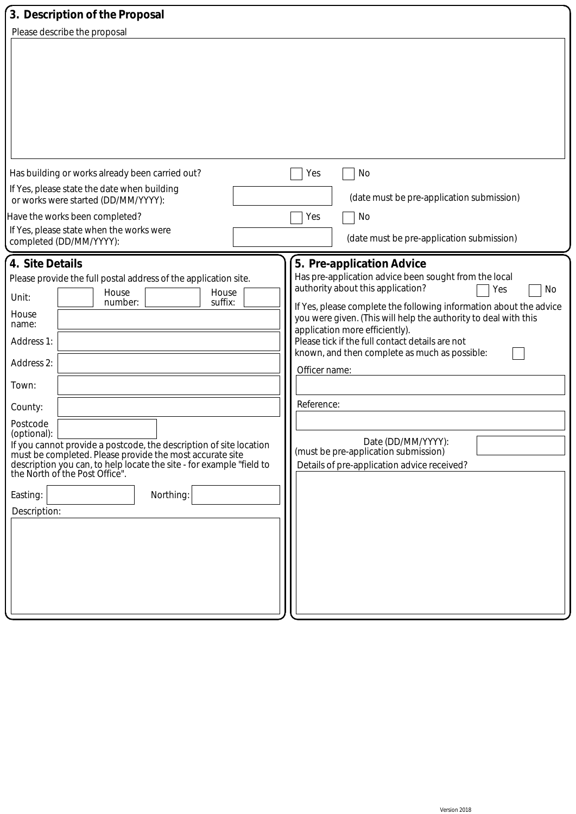| 3. Description of the Proposal                                                                                                                                                                                                                                                                                                                                                                                                                                                                                        |                                                                                                                                                                                                                                                                                                                                                                                                                                                                                                                                                                 |
|-----------------------------------------------------------------------------------------------------------------------------------------------------------------------------------------------------------------------------------------------------------------------------------------------------------------------------------------------------------------------------------------------------------------------------------------------------------------------------------------------------------------------|-----------------------------------------------------------------------------------------------------------------------------------------------------------------------------------------------------------------------------------------------------------------------------------------------------------------------------------------------------------------------------------------------------------------------------------------------------------------------------------------------------------------------------------------------------------------|
| Please describe the proposal                                                                                                                                                                                                                                                                                                                                                                                                                                                                                          |                                                                                                                                                                                                                                                                                                                                                                                                                                                                                                                                                                 |
|                                                                                                                                                                                                                                                                                                                                                                                                                                                                                                                       |                                                                                                                                                                                                                                                                                                                                                                                                                                                                                                                                                                 |
| Has building or works already been carried out?                                                                                                                                                                                                                                                                                                                                                                                                                                                                       | No<br>Yes                                                                                                                                                                                                                                                                                                                                                                                                                                                                                                                                                       |
| If Yes, please state the date when building<br>or works were started (DD/MM/YYYY):                                                                                                                                                                                                                                                                                                                                                                                                                                    | (date must be pre-application submission)                                                                                                                                                                                                                                                                                                                                                                                                                                                                                                                       |
| Have the works been completed?<br>If Yes, please state when the works were<br>completed (DD/MM/YYYY):                                                                                                                                                                                                                                                                                                                                                                                                                 | Yes<br>No<br>(date must be pre-application submission)                                                                                                                                                                                                                                                                                                                                                                                                                                                                                                          |
| 4. Site Details<br>Please provide the full postal address of the application site.<br>House<br>House<br>Unit:<br>suffix:<br>number:<br>House<br>name:<br>Address 1:<br>Address 2:<br>Town:<br>County:<br>Postcode<br>(optional):<br>If you cannot provide a postcode, the description of site location<br>must be completed. Please provide the most accurate site<br>description you can, to help locate the site - for example "field to<br>the North of the Post Office".<br>Northing:<br>Easting:<br>Description: | 5. Pre-application Advice<br>Has pre-application advice been sought from the local<br>authority about this application?<br>No<br>Yes<br>If Yes, please complete the following information about the advice<br>you were given. (This will help the authority to deal with this<br>application more efficiently).<br>Please tick if the full contact details are not<br>known, and then complete as much as possible:<br>Officer name:<br>Reference:<br>Date (DD/MM/YYYY):<br>(must be pre-application submission)<br>Details of pre-application advice received? |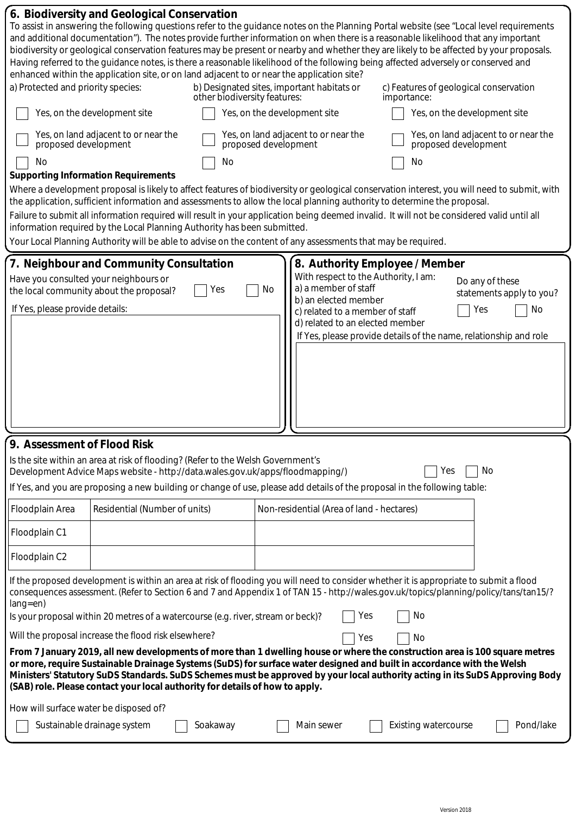| a) Protected and priority species:<br>proposed development<br>No         | 6. Biodiversity and Geological Conservation<br>and additional documentation"). The notes provide further information on when there is a reasonable likelihood that any important<br>Having referred to the guidance notes, is there a reasonable likelihood of the following being affected adversely or conserved and<br>enhanced within the application site, or on land adjacent to or near the application site?<br>Yes, on the development site<br>Yes, on land adjacent to or near the<br><b>Supporting Information Requirements</b> | other biodiversity features:<br>proposed development<br>No |    | b) Designated sites, important habitats or<br>Yes, on the development site<br>Yes, on land adjacent to or near the                                                                           | importance:<br>No           | To assist in answering the following questions refer to the guidance notes on the Planning Portal website (see "Local level requirements<br>biodiversity or geological conservation features may be present or nearby and whether they are likely to be affected by your proposals.<br>c) Features of geological conservation<br>Yes, on the development site<br>Yes, on land adjacent to or near the<br>proposed development |
|--------------------------------------------------------------------------|--------------------------------------------------------------------------------------------------------------------------------------------------------------------------------------------------------------------------------------------------------------------------------------------------------------------------------------------------------------------------------------------------------------------------------------------------------------------------------------------------------------------------------------------|------------------------------------------------------------|----|----------------------------------------------------------------------------------------------------------------------------------------------------------------------------------------------|-----------------------------|-------------------------------------------------------------------------------------------------------------------------------------------------------------------------------------------------------------------------------------------------------------------------------------------------------------------------------------------------------------------------------------------------------------------------------|
|                                                                          | the application, sufficient information and assessments to allow the local planning authority to determine the proposal.<br>Failure to submit all information required will result in your application being deemed invalid. It will not be considered valid until all<br>information required by the Local Planning Authority has been submitted.<br>Your Local Planning Authority will be able to advise on the content of any assessments that may be required.                                                                         |                                                            |    |                                                                                                                                                                                              |                             | Where a development proposal is likely to affect features of biodiversity or geological conservation interest, you will need to submit, with                                                                                                                                                                                                                                                                                  |
| Have you consulted your neighbours or<br>If Yes, please provide details: | 7. Neighbour and Community Consultation<br>the local community about the proposal?                                                                                                                                                                                                                                                                                                                                                                                                                                                         | Yes                                                        | No | 8. Authority Employee / Member<br>With respect to the Authority, I am:<br>a) a member of staff<br>b) an elected member<br>c) related to a member of staff<br>d) related to an elected member |                             | Do any of these<br>statements apply to you?<br>No<br>Yes<br>If Yes, please provide details of the name, relationship and role                                                                                                                                                                                                                                                                                                 |
| 9. Assessment of Flood Risk                                              | Is the site within an area at risk of flooding? (Refer to the Welsh Government's<br>Development Advice Maps website - http://data.wales.gov.uk/apps/floodmapping/)<br>If Yes, and you are proposing a new building or change of use, please add details of the proposal in the following table:                                                                                                                                                                                                                                            |                                                            |    |                                                                                                                                                                                              | Yes                         | No                                                                                                                                                                                                                                                                                                                                                                                                                            |
| Floodplain Area                                                          | Residential (Number of units)                                                                                                                                                                                                                                                                                                                                                                                                                                                                                                              |                                                            |    | Non-residential (Area of land - hectares)                                                                                                                                                    |                             |                                                                                                                                                                                                                                                                                                                                                                                                                               |
| Floodplain C1<br>Floodplain C2                                           |                                                                                                                                                                                                                                                                                                                                                                                                                                                                                                                                            |                                                            |    |                                                                                                                                                                                              |                             |                                                                                                                                                                                                                                                                                                                                                                                                                               |
| $lang = en)$                                                             | If the proposed development is within an area at risk of flooding you will need to consider whether it is appropriate to submit a flood<br>Is your proposal within 20 metres of a watercourse (e.g. river, stream or beck)?                                                                                                                                                                                                                                                                                                                |                                                            |    | Yes                                                                                                                                                                                          | No                          | consequences assessment. (Refer to Section 6 and 7 and Appendix 1 of TAN 15 - http://wales.gov.uk/topics/planning/policy/tans/tan15/?                                                                                                                                                                                                                                                                                         |
|                                                                          | Will the proposal increase the flood risk elsewhere?<br>or more, require Sustainable Drainage Systems (SuDS) for surface water designed and built in accordance with the Welsh<br>(SAB) role. Please contact your local authority for details of how to apply.                                                                                                                                                                                                                                                                             |                                                            |    | Yes                                                                                                                                                                                          | No                          | From 7 January 2019, all new developments of more than 1 dwelling house or where the construction area is 100 square metres<br>Ministers' Statutory SuDS Standards. SuDS Schemes must be approved by your local authority acting in its SuDS Approving Body                                                                                                                                                                   |
| How will surface water be disposed of?                                   | Sustainable drainage system                                                                                                                                                                                                                                                                                                                                                                                                                                                                                                                | Soakaway                                                   |    | Main sewer                                                                                                                                                                                   | <b>Existing watercourse</b> | Pond/lake                                                                                                                                                                                                                                                                                                                                                                                                                     |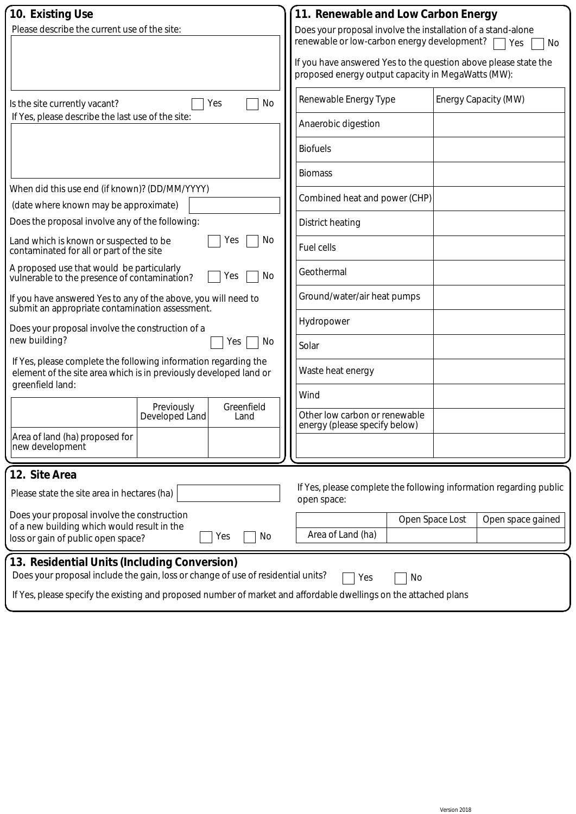| 10. Existing Use                                                                                                                                         |    | 11. Renewable and Low Carbon Energy                                                                                   |                 |                      |
|----------------------------------------------------------------------------------------------------------------------------------------------------------|----|-----------------------------------------------------------------------------------------------------------------------|-----------------|----------------------|
| Please describe the current use of the site:                                                                                                             |    | Does your proposal involve the installation of a stand-alone<br>renewable or low-carbon energy development?           |                 | Yes<br>No            |
|                                                                                                                                                          |    | If you have answered Yes to the question above please state the<br>proposed energy output capacity in MegaWatts (MW): |                 |                      |
| Yes<br>Is the site currently vacant?                                                                                                                     | No | Renewable Energy Type                                                                                                 |                 | Energy Capacity (MW) |
| If Yes, please describe the last use of the site:                                                                                                        |    | Anaerobic digestion                                                                                                   |                 |                      |
|                                                                                                                                                          |    | <b>Biofuels</b>                                                                                                       |                 |                      |
|                                                                                                                                                          |    | <b>Biomass</b>                                                                                                        |                 |                      |
| When did this use end (if known)? (DD/MM/YYYY)                                                                                                           |    | Combined heat and power (CHP)                                                                                         |                 |                      |
| (date where known may be approximate)<br>Does the proposal involve any of the following:                                                                 |    | <b>District heating</b>                                                                                               |                 |                      |
| Land which is known or suspected to be<br>Yes<br>contaminated for all or part of the site                                                                | No | <b>Fuel cells</b>                                                                                                     |                 |                      |
| A proposed use that would be particularly<br>vulnerable to the presence of contamination?<br>Yes                                                         | No | Geothermal                                                                                                            |                 |                      |
| If you have answered Yes to any of the above, you will need to<br>submit an appropriate contamination assessment.                                        |    | Ground/water/air heat pumps                                                                                           |                 |                      |
| Does your proposal involve the construction of a                                                                                                         |    | Hydropower                                                                                                            |                 |                      |
| new building?<br>Yes                                                                                                                                     | No | Solar                                                                                                                 |                 |                      |
| If Yes, please complete the following information regarding the<br>element of the site area which is in previously developed land or<br>greenfield land: |    | Waste heat energy                                                                                                     |                 |                      |
| Previously<br>Greenfield                                                                                                                                 |    | Wind                                                                                                                  |                 |                      |
| Developed Land<br>Land                                                                                                                                   |    | Other low carbon or renewable<br>energy (please specify below)                                                        |                 |                      |
| Area of land (ha) proposed for<br>new development                                                                                                        |    |                                                                                                                       |                 |                      |
| 12. Site Area                                                                                                                                            |    |                                                                                                                       |                 |                      |
| Please state the site area in hectares (ha)                                                                                                              |    | If Yes, please complete the following information regarding public<br>open space:                                     |                 |                      |
| Does your proposal involve the construction<br>of a new building which would result in the                                                               |    |                                                                                                                       | Open Space Lost | Open space gained    |
| No<br>Yes<br>loss or gain of public open space?                                                                                                          |    | Area of Land (ha)                                                                                                     |                 |                      |
| 13. Residential Units (Including Conversion)                                                                                                             |    |                                                                                                                       |                 |                      |
| Does your proposal include the gain, loss or change of use of residential units?                                                                         |    | Yes                                                                                                                   | No              |                      |
| If Yes, please specify the existing and proposed number of market and affordable dwellings on the attached plans                                         |    |                                                                                                                       |                 |                      |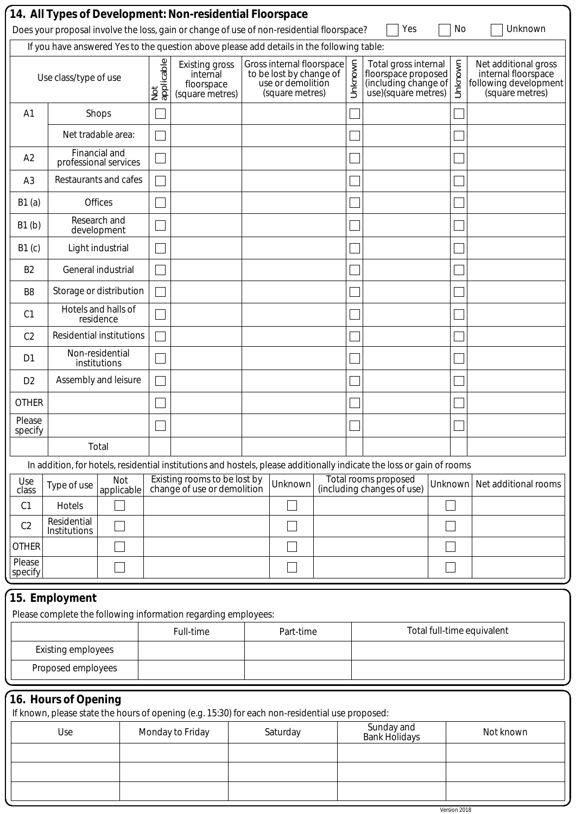|                        |                                 |                                        |                   | 14. All Types of Development: Non-residential Floorspace<br>Does your proposal involve the loss, gain or change of use of non-residential floorspace? |  |                                                                                              |         | Yes                                                                                                                   |         | No      | Unknown                                                                                 |
|------------------------|---------------------------------|----------------------------------------|-------------------|-------------------------------------------------------------------------------------------------------------------------------------------------------|--|----------------------------------------------------------------------------------------------|---------|-----------------------------------------------------------------------------------------------------------------------|---------|---------|-----------------------------------------------------------------------------------------|
|                        |                                 |                                        |                   | If you have answered Yes to the question above please add details in the following table:                                                             |  |                                                                                              |         |                                                                                                                       |         |         |                                                                                         |
|                        | Use class/type of use           |                                        | applicable<br>Not | <b>Existing gross</b><br>internal<br>floorspace<br>(square metres)                                                                                    |  | Gross internal floorspace<br>to be lost by change of<br>use or demolition<br>(square metres) | Unknown | Total gross internal<br>floorspace proposed<br>(including change of<br>use)(square metres)                            |         | Unknown | Net additional gross<br>internal floorspace<br>following development<br>(square metres) |
| A <sub>1</sub>         |                                 | Shops                                  |                   |                                                                                                                                                       |  |                                                                                              |         |                                                                                                                       |         |         |                                                                                         |
|                        |                                 | Net tradable area:                     |                   |                                                                                                                                                       |  |                                                                                              |         |                                                                                                                       |         |         |                                                                                         |
| A2                     |                                 | Financial and<br>professional services |                   |                                                                                                                                                       |  |                                                                                              |         |                                                                                                                       |         |         |                                                                                         |
| A <sub>3</sub>         |                                 | Restaurants and cafes                  |                   |                                                                                                                                                       |  |                                                                                              |         |                                                                                                                       |         |         |                                                                                         |
| B1(a)                  |                                 | Offices                                |                   |                                                                                                                                                       |  |                                                                                              |         |                                                                                                                       |         |         |                                                                                         |
| B1(b)                  |                                 | Research and<br>development            |                   |                                                                                                                                                       |  |                                                                                              |         |                                                                                                                       |         |         |                                                                                         |
| B1(c)                  |                                 | Light industrial                       |                   |                                                                                                                                                       |  |                                                                                              |         |                                                                                                                       |         |         |                                                                                         |
| B <sub>2</sub>         |                                 | General industrial                     |                   |                                                                                                                                                       |  |                                                                                              |         |                                                                                                                       |         |         |                                                                                         |
| B <sub>8</sub>         | Storage or distribution         |                                        |                   |                                                                                                                                                       |  |                                                                                              |         |                                                                                                                       |         |         |                                                                                         |
| C <sub>1</sub>         |                                 | Hotels and halls of<br>residence       |                   |                                                                                                                                                       |  |                                                                                              |         |                                                                                                                       |         |         |                                                                                         |
| C <sub>2</sub>         | <b>Residential institutions</b> |                                        |                   |                                                                                                                                                       |  |                                                                                              |         |                                                                                                                       |         |         |                                                                                         |
| D <sub>1</sub>         |                                 | Non-residential<br>institutions        |                   |                                                                                                                                                       |  |                                                                                              |         |                                                                                                                       |         |         |                                                                                         |
| D <sub>2</sub>         |                                 | Assembly and leisure                   |                   |                                                                                                                                                       |  |                                                                                              |         |                                                                                                                       |         |         |                                                                                         |
| <b>OTHER</b>           |                                 |                                        |                   |                                                                                                                                                       |  |                                                                                              |         |                                                                                                                       |         |         |                                                                                         |
| Please<br>specify      |                                 |                                        |                   |                                                                                                                                                       |  |                                                                                              |         |                                                                                                                       |         |         |                                                                                         |
|                        |                                 | Total                                  |                   |                                                                                                                                                       |  |                                                                                              |         |                                                                                                                       |         |         |                                                                                         |
|                        |                                 |                                        |                   |                                                                                                                                                       |  |                                                                                              |         | In addition, for hotels, residential institutions and hostels, please additionally indicate the loss or gain of rooms |         |         |                                                                                         |
| Use<br>class           | Type of use                     | Not<br>applicable                      |                   | Existing rooms to be lost by<br>change of use or demolition                                                                                           |  | Unknown                                                                                      |         | Total rooms proposed<br>(including changes of use)                                                                    | Unknown |         | Net additional rooms                                                                    |
| C1                     | Hotels                          |                                        |                   |                                                                                                                                                       |  |                                                                                              |         |                                                                                                                       |         |         |                                                                                         |
| C <sub>2</sub>         | Residential<br>Institutions     |                                        |                   |                                                                                                                                                       |  |                                                                                              |         |                                                                                                                       |         |         |                                                                                         |
| <b>OTHER</b><br>Please |                                 |                                        |                   |                                                                                                                                                       |  |                                                                                              |         |                                                                                                                       |         |         |                                                                                         |
| specify                |                                 |                                        |                   |                                                                                                                                                       |  |                                                                                              |         |                                                                                                                       |         |         |                                                                                         |
|                        | 15. Employment                  |                                        |                   |                                                                                                                                                       |  |                                                                                              |         |                                                                                                                       |         |         |                                                                                         |
|                        |                                 |                                        |                   | Please complete the following information regarding employees:                                                                                        |  |                                                                                              |         |                                                                                                                       |         |         |                                                                                         |
|                        | <b>Existing employees</b>       |                                        |                   | Full-time                                                                                                                                             |  | Part-time                                                                                    |         |                                                                                                                       |         |         | Total full-time equivalent                                                              |
|                        | Proposed employees              |                                        |                   |                                                                                                                                                       |  |                                                                                              |         |                                                                                                                       |         |         |                                                                                         |
|                        |                                 |                                        |                   |                                                                                                                                                       |  |                                                                                              |         |                                                                                                                       |         |         |                                                                                         |
|                        | 16. Hours of Opening            |                                        |                   | If known, please state the hours of opening (e.g. 15:30) for each non-residential use proposed:                                                       |  |                                                                                              |         |                                                                                                                       |         |         |                                                                                         |
|                        | Use                             |                                        |                   | Monday to Friday                                                                                                                                      |  | Saturday                                                                                     |         | Sunday and<br>Bank Holidays                                                                                           |         |         | Not known                                                                               |
|                        |                                 |                                        |                   |                                                                                                                                                       |  |                                                                                              |         |                                                                                                                       |         |         |                                                                                         |
|                        |                                 |                                        |                   |                                                                                                                                                       |  |                                                                                              |         |                                                                                                                       |         |         |                                                                                         |
|                        |                                 |                                        |                   |                                                                                                                                                       |  |                                                                                              |         |                                                                                                                       |         |         |                                                                                         |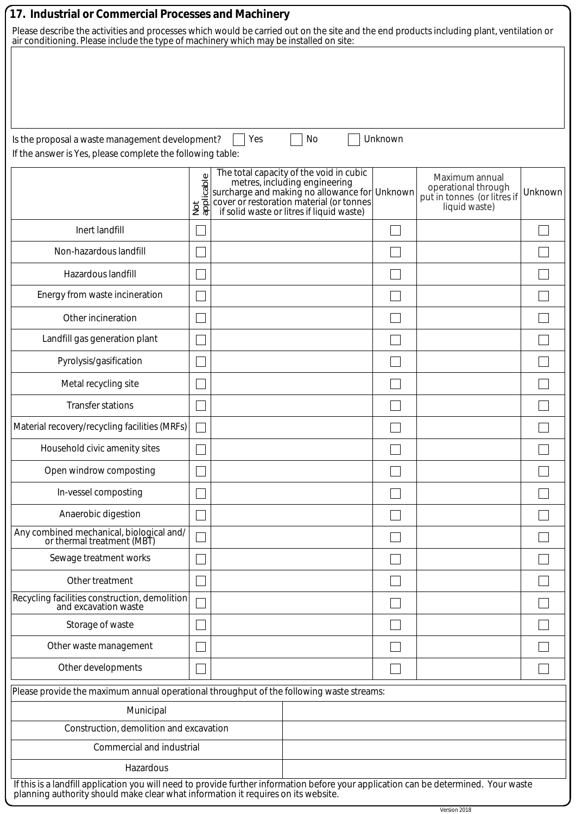| 17. Industrial or Commercial Processes and Machinery                                     |                           |                                                                                                                                                                    |         |
|------------------------------------------------------------------------------------------|---------------------------|--------------------------------------------------------------------------------------------------------------------------------------------------------------------|---------|
| air conditioning. Please include the type of machinery which may be installed on site:   |                           | Please describe the activities and processes which would be carried out on the site and the end products including plant, ventilation or                           |         |
|                                                                                          |                           |                                                                                                                                                                    |         |
|                                                                                          |                           |                                                                                                                                                                    |         |
|                                                                                          |                           |                                                                                                                                                                    |         |
|                                                                                          |                           |                                                                                                                                                                    |         |
| Is the proposal a waste management development?                                          |                           | Unknown<br>Yes<br>No                                                                                                                                               |         |
| If the answer is Yes, please complete the following table:                               |                           |                                                                                                                                                                    |         |
|                                                                                          |                           | The total capacity of the void in cubic<br>Maximum annual<br>operational through                                                                                   |         |
|                                                                                          | Not<br>ap <u>plicable</u> | metres, including engineering<br>surcharge and making no allowance for<br>cover or restoration material (or tonnes<br>put in tonnes (or litres if<br>liquid waste) | Unknown |
|                                                                                          |                           | if solid waste or litres if liquid waste)                                                                                                                          |         |
| Inert landfill<br>Non-hazardous landfill                                                 |                           |                                                                                                                                                                    |         |
|                                                                                          |                           |                                                                                                                                                                    |         |
| Hazardous landfill                                                                       |                           |                                                                                                                                                                    |         |
| Energy from waste incineration                                                           |                           |                                                                                                                                                                    |         |
| Other incineration                                                                       |                           |                                                                                                                                                                    |         |
| Landfill gas generation plant                                                            |                           |                                                                                                                                                                    |         |
| Pyrolysis/gasification                                                                   |                           |                                                                                                                                                                    |         |
| Metal recycling site                                                                     |                           |                                                                                                                                                                    |         |
| <b>Transfer stations</b>                                                                 |                           |                                                                                                                                                                    |         |
| Material recovery/recycling facilities (MRFs)                                            |                           |                                                                                                                                                                    |         |
| Household civic amenity sites                                                            |                           |                                                                                                                                                                    |         |
| Open windrow composting                                                                  |                           |                                                                                                                                                                    |         |
| In-vessel composting                                                                     |                           |                                                                                                                                                                    |         |
| Anaerobic digestion                                                                      |                           |                                                                                                                                                                    |         |
| Any combined mechanical, biological and/<br>or thermal treatment (MBT)                   |                           |                                                                                                                                                                    |         |
| Sewage treatment works                                                                   |                           |                                                                                                                                                                    |         |
| Other treatment                                                                          |                           |                                                                                                                                                                    |         |
| Recycling facilities construction, demolition<br>and excavation waste                    |                           |                                                                                                                                                                    |         |
| Storage of waste                                                                         |                           |                                                                                                                                                                    |         |
| Other waste management                                                                   |                           |                                                                                                                                                                    |         |
| Other developments                                                                       |                           |                                                                                                                                                                    |         |
| Please provide the maximum annual operational throughput of the following waste streams: |                           |                                                                                                                                                                    |         |
| Municipal                                                                                |                           |                                                                                                                                                                    |         |
| Construction, demolition and excavation                                                  |                           |                                                                                                                                                                    |         |
| Commercial and industrial                                                                |                           |                                                                                                                                                                    |         |
| Hazardous                                                                                |                           |                                                                                                                                                                    |         |
| planning authority should make clear what information it requires on its website.        |                           | If this is a landfill application you will need to provide further information before your application can be determined. Your waste                               |         |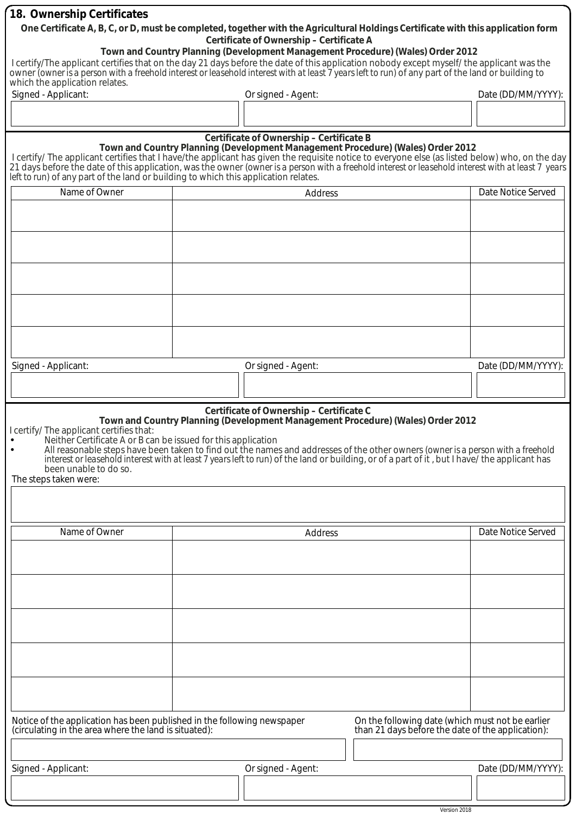| 18. Ownership Certificates                                                                                                                                                                                                                                                                                                                                                                                                                     |  |                                          |                                                                                                       |                    |
|------------------------------------------------------------------------------------------------------------------------------------------------------------------------------------------------------------------------------------------------------------------------------------------------------------------------------------------------------------------------------------------------------------------------------------------------|--|------------------------------------------|-------------------------------------------------------------------------------------------------------|--------------------|
| One Certificate A, B, C, or D, must be completed, together with the Agricultural Holdings Certificate with this application form                                                                                                                                                                                                                                                                                                               |  | Certificate of Ownership - Certificate A |                                                                                                       |                    |
|                                                                                                                                                                                                                                                                                                                                                                                                                                                |  |                                          | Town and Country Planning (Development Management Procedure) (Wales) Order 2012                       |                    |
| I certify/The applicant certifies that on the day 21 days before the date of this application nobody except myself/ the applicant was the<br>owner <i>(owner is a person with a freehold interest or leasehold interest with at least 7 years left to run)</i> of any part of the land or building to                                                                                                                                          |  |                                          |                                                                                                       |                    |
| which the application relates.                                                                                                                                                                                                                                                                                                                                                                                                                 |  |                                          |                                                                                                       |                    |
| Signed - Applicant:                                                                                                                                                                                                                                                                                                                                                                                                                            |  | Or signed - Agent:                       |                                                                                                       | Date (DD/MM/YYYY): |
|                                                                                                                                                                                                                                                                                                                                                                                                                                                |  |                                          |                                                                                                       |                    |
|                                                                                                                                                                                                                                                                                                                                                                                                                                                |  | Certificate of Ownership - Certificate B |                                                                                                       |                    |
| I certify/ The applicant certifies that I have/the applicant has given the requisite notice to everyone else (as listed below) who, on the day<br>21 days before the date of this application, was the owner (owner is a person with a freehold interest or leasehold interest with at least 7 years<br>left to run) of any part of the land or building to which this application relates.                                                    |  |                                          | Town and Country Planning (Development Management Procedure) (Wales) Order 2012                       |                    |
| Name of Owner                                                                                                                                                                                                                                                                                                                                                                                                                                  |  | Date Notice Served                       |                                                                                                       |                    |
|                                                                                                                                                                                                                                                                                                                                                                                                                                                |  |                                          |                                                                                                       |                    |
|                                                                                                                                                                                                                                                                                                                                                                                                                                                |  |                                          |                                                                                                       |                    |
|                                                                                                                                                                                                                                                                                                                                                                                                                                                |  |                                          |                                                                                                       |                    |
|                                                                                                                                                                                                                                                                                                                                                                                                                                                |  |                                          |                                                                                                       |                    |
|                                                                                                                                                                                                                                                                                                                                                                                                                                                |  |                                          |                                                                                                       |                    |
|                                                                                                                                                                                                                                                                                                                                                                                                                                                |  |                                          |                                                                                                       |                    |
|                                                                                                                                                                                                                                                                                                                                                                                                                                                |  |                                          |                                                                                                       |                    |
|                                                                                                                                                                                                                                                                                                                                                                                                                                                |  |                                          |                                                                                                       |                    |
|                                                                                                                                                                                                                                                                                                                                                                                                                                                |  |                                          |                                                                                                       |                    |
| Signed - Applicant:                                                                                                                                                                                                                                                                                                                                                                                                                            |  | Or signed - Agent:                       |                                                                                                       | Date (DD/MM/YYYY): |
|                                                                                                                                                                                                                                                                                                                                                                                                                                                |  |                                          |                                                                                                       |                    |
|                                                                                                                                                                                                                                                                                                                                                                                                                                                |  |                                          |                                                                                                       |                    |
| I certify/ The applicant certifies that:<br>Neither Certificate A or B can be issued for this application<br>All reasonable steps have been taken to find out the names and addresses of the other owners (owner is a person with a freehold<br>interest or leasehold interest with at least 7 years left to run) of the land or building, or of a part of it, but I have/ the applicant has<br>been unable to do so.<br>The steps taken were: |  | Certificate of Ownership - Certificate C | Town and Country Planning (Development Management Procedure) (Wales) Order 2012                       |                    |
|                                                                                                                                                                                                                                                                                                                                                                                                                                                |  |                                          |                                                                                                       |                    |
| Name of Owner                                                                                                                                                                                                                                                                                                                                                                                                                                  |  | Address                                  |                                                                                                       | Date Notice Served |
|                                                                                                                                                                                                                                                                                                                                                                                                                                                |  |                                          |                                                                                                       |                    |
|                                                                                                                                                                                                                                                                                                                                                                                                                                                |  |                                          |                                                                                                       |                    |
|                                                                                                                                                                                                                                                                                                                                                                                                                                                |  |                                          |                                                                                                       |                    |
|                                                                                                                                                                                                                                                                                                                                                                                                                                                |  |                                          |                                                                                                       |                    |
|                                                                                                                                                                                                                                                                                                                                                                                                                                                |  |                                          |                                                                                                       |                    |
|                                                                                                                                                                                                                                                                                                                                                                                                                                                |  |                                          |                                                                                                       |                    |
|                                                                                                                                                                                                                                                                                                                                                                                                                                                |  |                                          |                                                                                                       |                    |
|                                                                                                                                                                                                                                                                                                                                                                                                                                                |  |                                          |                                                                                                       |                    |
|                                                                                                                                                                                                                                                                                                                                                                                                                                                |  |                                          |                                                                                                       |                    |
| Notice of the application has been published in the following newspaper<br>(circulating in the area where the land is situated):                                                                                                                                                                                                                                                                                                               |  |                                          | On the following date (which must not be earlier<br>than 21 days before the date of the application): |                    |
|                                                                                                                                                                                                                                                                                                                                                                                                                                                |  |                                          |                                                                                                       |                    |
| Signed - Applicant:                                                                                                                                                                                                                                                                                                                                                                                                                            |  | Or signed - Agent:                       |                                                                                                       | Date (DD/MM/YYYY): |
|                                                                                                                                                                                                                                                                                                                                                                                                                                                |  |                                          |                                                                                                       |                    |

Version 2018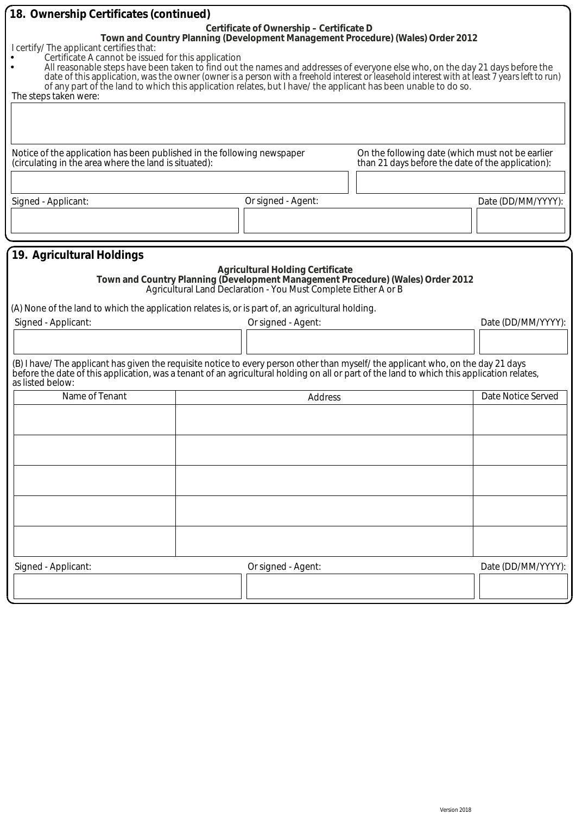| 18. Ownership Certificates (continued)                                                                                                                                                                                                                                                                                                                                                                                                                                                                                     |                                          |                                                                                                                                                    |                    |
|----------------------------------------------------------------------------------------------------------------------------------------------------------------------------------------------------------------------------------------------------------------------------------------------------------------------------------------------------------------------------------------------------------------------------------------------------------------------------------------------------------------------------|------------------------------------------|----------------------------------------------------------------------------------------------------------------------------------------------------|--------------------|
| I certify/ The applicant certifies that:<br>Certificate A cannot be issued for this application<br>All reasonable steps have been taken to find out the names and addresses of everyone else who, on the day 21 days before the<br>date of this application, was the owner (owner is a person with a freehold interest or leasehold interest with at least 7 years left to run)<br>of any part of the land to which this application relates, but I have/ the applicant has been unable to do so.<br>The steps taken were: | Certificate of Ownership - Certificate D | Town and Country Planning (Development Management Procedure) (Wales) Order 2012                                                                    |                    |
| Notice of the application has been published in the following newspaper                                                                                                                                                                                                                                                                                                                                                                                                                                                    |                                          | On the following date (which must not be earlier                                                                                                   |                    |
| (circulating in the area where the land is situated):                                                                                                                                                                                                                                                                                                                                                                                                                                                                      |                                          | than 21 days before the date of the application):                                                                                                  |                    |
|                                                                                                                                                                                                                                                                                                                                                                                                                                                                                                                            |                                          |                                                                                                                                                    |                    |
| Signed - Applicant:                                                                                                                                                                                                                                                                                                                                                                                                                                                                                                        | Or signed - Agent:                       |                                                                                                                                                    | Date (DD/MM/YYYY): |
|                                                                                                                                                                                                                                                                                                                                                                                                                                                                                                                            |                                          |                                                                                                                                                    |                    |
|                                                                                                                                                                                                                                                                                                                                                                                                                                                                                                                            |                                          |                                                                                                                                                    |                    |
| 19. Agricultural Holdings<br>(A) None of the land to which the application relates is, or is part of, an agricultural holding.                                                                                                                                                                                                                                                                                                                                                                                             | <b>Agricultural Holding Certificate</b>  | Town and Country Planning (Development Management Procedure) (Wales) Order 2012<br>Agricultural Land Declaration - You Must Complete Either A or B |                    |
| Signed - Applicant:                                                                                                                                                                                                                                                                                                                                                                                                                                                                                                        | Or signed - Agent:                       |                                                                                                                                                    | Date (DD/MM/YYYY): |
|                                                                                                                                                                                                                                                                                                                                                                                                                                                                                                                            |                                          |                                                                                                                                                    |                    |
| (B) I have/The applicant has given the requisite notice to every person other than myself/the applicant who, on the day 21 days<br>before the date of this application, was a tenant of an agricultural holding on all or part of the land to which this application relates,<br>as listed below:                                                                                                                                                                                                                          |                                          |                                                                                                                                                    |                    |
| Name of Tenant                                                                                                                                                                                                                                                                                                                                                                                                                                                                                                             | Address                                  |                                                                                                                                                    | Date Notice Served |
|                                                                                                                                                                                                                                                                                                                                                                                                                                                                                                                            |                                          |                                                                                                                                                    |                    |
|                                                                                                                                                                                                                                                                                                                                                                                                                                                                                                                            |                                          |                                                                                                                                                    |                    |
|                                                                                                                                                                                                                                                                                                                                                                                                                                                                                                                            |                                          |                                                                                                                                                    |                    |
|                                                                                                                                                                                                                                                                                                                                                                                                                                                                                                                            |                                          |                                                                                                                                                    |                    |
|                                                                                                                                                                                                                                                                                                                                                                                                                                                                                                                            |                                          |                                                                                                                                                    |                    |
| Signed - Applicant:                                                                                                                                                                                                                                                                                                                                                                                                                                                                                                        | Or signed - Agent:                       |                                                                                                                                                    | Date (DD/MM/YYYY): |
|                                                                                                                                                                                                                                                                                                                                                                                                                                                                                                                            |                                          |                                                                                                                                                    |                    |
|                                                                                                                                                                                                                                                                                                                                                                                                                                                                                                                            |                                          |                                                                                                                                                    |                    |